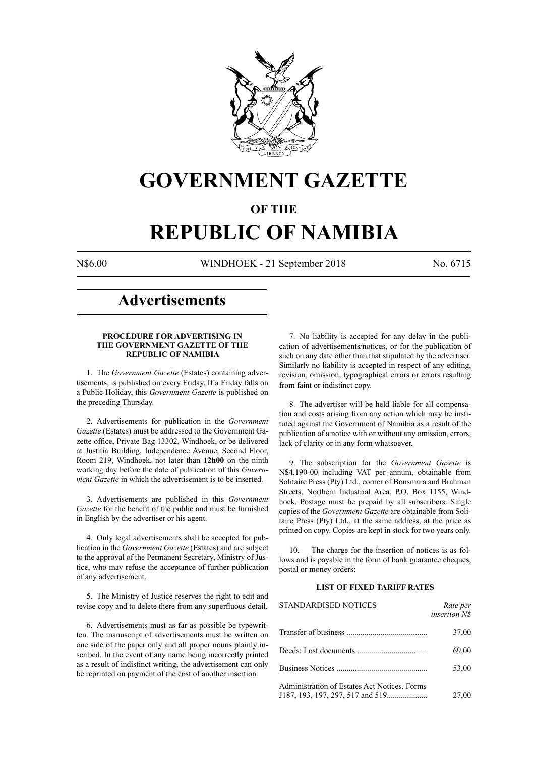

## **GOVERNMENT GAZETTE**

### **OF THE**

# **REPUBLIC OF NAMIBIA**

N\$6.00 WINDHOEK - 21 September 2018 No. 6715

### **Advertisements**

#### **PROCEDURE FOR ADVERTISING IN THE GOVERNMENT GAZETTE OF THE REPUBLIC OF NAMIBIA**

1. The *Government Gazette* (Estates) containing advertisements, is published on every Friday. If a Friday falls on a Public Holiday, this *Government Gazette* is published on the preceding Thursday.

2. Advertisements for publication in the *Government Gazette* (Estates) must be addressed to the Government Gazette office, Private Bag 13302, Windhoek, or be delivered at Justitia Building, Independence Avenue, Second Floor, Room 219, Windhoek, not later than **12h00** on the ninth working day before the date of publication of this *Government Gazette* in which the advertisement is to be inserted.

3. Advertisements are published in this *Government Gazette* for the benefit of the public and must be furnished in English by the advertiser or his agent.

4. Only legal advertisements shall be accepted for publication in the *Government Gazette* (Estates) and are subject to the approval of the Permanent Secretary, Ministry of Justice, who may refuse the acceptance of further publication of any advertisement.

5. The Ministry of Justice reserves the right to edit and revise copy and to delete there from any superfluous detail.

6. Advertisements must as far as possible be typewritten. The manuscript of advertisements must be written on one side of the paper only and all proper nouns plainly inscribed. In the event of any name being incorrectly printed as a result of indistinct writing, the advertisement can only be reprinted on payment of the cost of another insertion.

7. No liability is accepted for any delay in the publication of advertisements/notices, or for the publication of such on any date other than that stipulated by the advertiser. Similarly no liability is accepted in respect of any editing, revision, omission, typographical errors or errors resulting from faint or indistinct copy.

8. The advertiser will be held liable for all compensation and costs arising from any action which may be instituted against the Government of Namibia as a result of the publication of a notice with or without any omission, errors, lack of clarity or in any form whatsoever.

9. The subscription for the *Government Gazette* is N\$4,190-00 including VAT per annum, obtainable from Solitaire Press (Pty) Ltd., corner of Bonsmara and Brahman Streets, Northern Industrial Area, P.O. Box 1155, Windhoek. Postage must be prepaid by all subscribers. Single copies of the *Government Gazette* are obtainable from Solitaire Press (Pty) Ltd., at the same address, at the price as printed on copy. Copies are kept in stock for two years only.

10. The charge for the insertion of notices is as follows and is payable in the form of bank guarantee cheques, postal or money orders:

#### **LIST OF FIXED TARIFF RATES**

| <b>STANDARDISED NOTICES</b>                  | Rate per<br><i>insertion NS</i> |
|----------------------------------------------|---------------------------------|
|                                              | 37,00                           |
|                                              | 69,00                           |
|                                              | 53,00                           |
| Administration of Estates Act Notices, Forms | 27,00                           |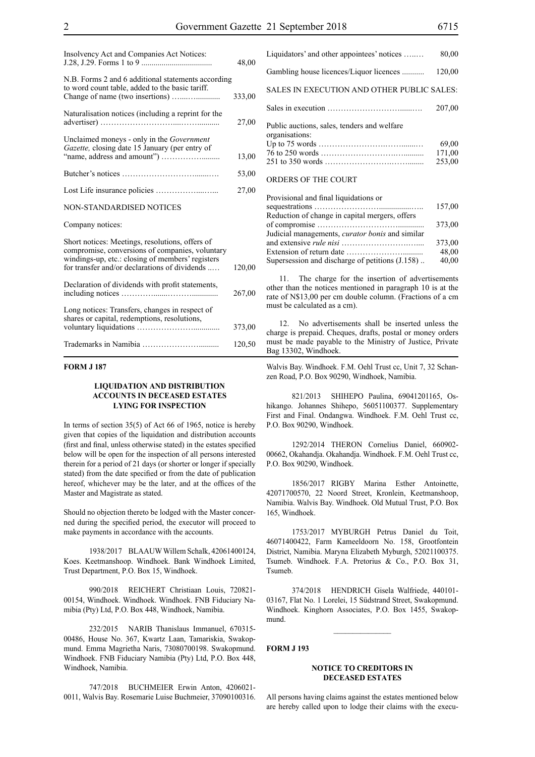| Insolvency Act and Companies Act Notices:                                                                                                                                                               | 48,00  |
|---------------------------------------------------------------------------------------------------------------------------------------------------------------------------------------------------------|--------|
| N.B. Forms 2 and 6 additional statements according<br>to word count table, added to the basic tariff.                                                                                                   | 333,00 |
| Naturalisation notices (including a reprint for the                                                                                                                                                     | 27,00  |
| Unclaimed moneys - only in the Government<br>Gazette, closing date 15 January (per entry of                                                                                                             | 13,00  |
|                                                                                                                                                                                                         | 53,00  |
|                                                                                                                                                                                                         | 27,00  |
| NON-STANDARDISED NOTICES                                                                                                                                                                                |        |
| Company notices:                                                                                                                                                                                        |        |
| Short notices: Meetings, resolutions, offers of<br>compromise, conversions of companies, voluntary<br>windings-up, etc.: closing of members' registers<br>for transfer and/or declarations of dividends | 120,00 |
| Declaration of dividends with profit statements,                                                                                                                                                        | 267,00 |
| Long notices: Transfers, changes in respect of<br>shares or capital, redemptions, resolutions,                                                                                                          | 373,00 |
|                                                                                                                                                                                                         | 120,50 |

#### **FORM J 187**

#### **LIQUIDATION AND DISTRIBUTION ACCOUNTS IN DECEASED ESTATES LYING FOR INSPECTION**

In terms of section 35(5) of Act 66 of 1965, notice is hereby given that copies of the liquidation and distribution accounts (first and final, unless otherwise stated) in the estates specified below will be open for the inspection of all persons interested therein for a period of 21 days (or shorter or longer if specially stated) from the date specified or from the date of publication hereof, whichever may be the later, and at the offices of the Master and Magistrate as stated.

Should no objection thereto be lodged with the Master concerned during the specified period, the executor will proceed to make payments in accordance with the accounts.

1938/2017 BLAAUW Willem Schalk, 42061400124, Koes. Keetmanshoop. Windhoek. Bank Windhoek Limited, Trust Department, P.O. Box 15, Windhoek.

990/2018 REICHERT Christiaan Louis, 720821- 00154, Windhoek. Windhoek. Windhoek. FNB Fiduciary Namibia (Pty) Ltd, P.O. Box 448, Windhoek, Namibia.

232/2015 NARIB Thanislaus Immanuel, 670315- 00486, House No. 367, Kwartz Laan, Tamariskia, Swakopmund. Emma Magrietha Naris, 73080700198. Swakopmund. Windhoek. FNB Fiduciary Namibia (Pty) Ltd, P.O. Box 448, Windhoek, Namibia.

747/2018 BUCHMEIER Erwin Anton, 4206021- 0011, Walvis Bay. Rosemarie Luise Buchmeier, 37090100316.

| Liquidators' and other appointees' notices                    | 80,00                     |
|---------------------------------------------------------------|---------------------------|
| Gambling house licences/Liquor licences                       | 120,00                    |
| SALES IN EXECUTION AND OTHER PUBLIC SALES:                    |                           |
|                                                               | 207,00                    |
| Public auctions, sales, tenders and welfare<br>organisations: | 69,00<br>171,00<br>253.00 |
| ORDERS OF THE COURT                                           |                           |

| Provisional and final liquidations or                  |        |
|--------------------------------------------------------|--------|
|                                                        | 157,00 |
| Reduction of change in capital mergers, offers         |        |
|                                                        | 373,00 |
| Judicial managements, <i>curator bonis</i> and similar |        |
|                                                        | 373,00 |
|                                                        | 48,00  |
| Supersession and discharge of petitions (J.158)        | 40,00  |
|                                                        |        |

11. The charge for the insertion of advertisements other than the notices mentioned in paragraph 10 is at the rate of N\$13,00 per cm double column. (Fractions of a cm must be calculated as a cm).

12. No advertisements shall be inserted unless the charge is prepaid. Cheques, drafts, postal or money orders must be made payable to the Ministry of Justice, Private Bag 13302, Windhoek.

Walvis Bay. Windhoek. F.M. Oehl Trust cc, Unit 7, 32 Schanzen Road, P.O. Box 90290, Windhoek, Namibia.

821/2013 SHIHEPO Paulina, 69041201165, Oshikango. Johannes Shihepo, 56051100377. Supplementary First and Final. Ondangwa. Windhoek. F.M. Oehl Trust cc, P.O. Box 90290, Windhoek.

1292/2014 THERON Cornelius Daniel, 660902- 00662, Okahandja. Okahandja. Windhoek. F.M. Oehl Trust cc, P.O. Box 90290, Windhoek.

1856/2017 RIGBY Marina Esther Antoinette, 42071700570, 22 Noord Street, Kronlein, Keetmanshoop, Namibia. Walvis Bay. Windhoek. Old Mutual Trust, P.O. Box 165, Windhoek.

1753/2017 MYBURGH Petrus Daniel du Toit, 46071400422, Farm Kameeldoorn No. 158, Grootfontein District, Namibia. Maryna Elizabeth Myburgh, 52021100375. Tsumeb. Windhoek. F.A. Pretorius & Co., P.O. Box 31, Tsumeb.

374/2018 HENDRICH Gisela Walfriede, 440101- 03167, Flat No. 1 Lorelei, 15 Südstrand Street, Swakopmund. Windhoek. Kinghorn Associates, P.O. Box 1455, Swakopmund.

 $\frac{1}{2}$ 

**FORM J 193**

#### **NOTICE TO CREDITORS IN DECEASED ESTATES**

All persons having claims against the estates mentioned below are hereby called upon to lodge their claims with the execu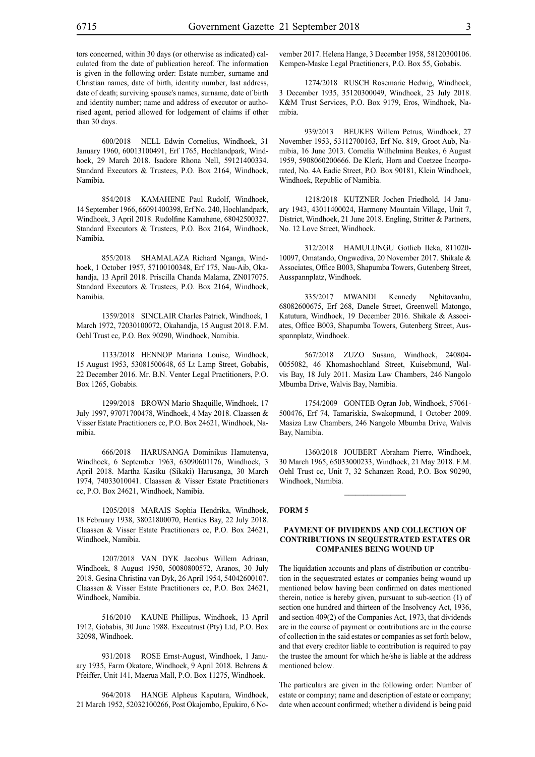tors concerned, within 30 days (or otherwise as indicated) calculated from the date of publication hereof. The information is given in the following order: Estate number, surname and Christian names, date of birth, identity number, last address, date of death; surviving spouse's names, surname, date of birth and identity number; name and address of executor or authorised agent, period allowed for lodgement of claims if other than 30 days.

600/2018 NELL Edwin Cornelius, Windhoek, 31 January 1960, 60013100491, Erf 1765, Hochlandpark, Windhoek, 29 March 2018. Isadore Rhona Nell, 59121400334. Standard Executors & Trustees, P.O. Box 2164, Windhoek, Namibia.

854/2018 KAMAHENE Paul Rudolf, Windhoek, 14 September 1966, 66091400398, Erf No. 240, Hochlandpark, Windhoek, 3 April 2018. Rudolfine Kamahene, 68042500327. Standard Executors & Trustees, P.O. Box 2164, Windhoek, Namibia.

855/2018 SHAMALAZA Richard Nganga, Windhoek, 1 October 1957, 57100100348, Erf 175, Nau-Aib, Okahandja, 13 April 2018. Priscilla Chanda Malama, ZN017075. Standard Executors & Trustees, P.O. Box 2164, Windhoek, Namibia.

1359/2018 SINCLAIR Charles Patrick, Windhoek, 1 March 1972, 72030100072, Okahandja, 15 August 2018. F.M. Oehl Trust cc, P.O. Box 90290, Windhoek, Namibia.

1133/2018 HENNOP Mariana Louise, Windhoek, 15 August 1953, 53081500648, 65 Lt Lamp Street, Gobabis, 22 December 2016. Mr. B.N. Venter Legal Practitioners, P.O. Box 1265, Gobabis.

1299/2018 BROWN Mario Shaquille, Windhoek, 17 July 1997, 97071700478, Windhoek, 4 May 2018. Claassen & Visser Estate Practitioners cc, P.O. Box 24621, Windhoek, Namibia.

666/2018 HARUSANGA Dominikus Hamutenya, Windhoek, 6 September 1963, 63090601176, Windhoek, 3 April 2018. Martha Kasiku (Sikaki) Harusanga, 30 March 1974, 74033010041. Claassen & Visser Estate Practitioners cc, P.O. Box 24621, Windhoek, Namibia.

1205/2018 MARAIS Sophia Hendrika, Windhoek, 18 February 1938, 38021800070, Henties Bay, 22 July 2018. Claassen & Visser Estate Practitioners cc, P.O. Box 24621, Windhoek, Namibia.

1207/2018 VAN DYK Jacobus Willem Adriaan, Windhoek, 8 August 1950, 50080800572, Aranos, 30 July 2018. Gesina Christina van Dyk, 26 April 1954, 54042600107. Claassen & Visser Estate Practitioners cc, P.O. Box 24621, Windhoek, Namibia.

516/2010 KAUNE Phillipus, Windhoek, 13 April 1912, Gobabis, 30 June 1988. Executrust (Pty) Ltd, P.O. Box 32098, Windhoek.

931/2018 ROSE Ernst-August, Windhoek, 1 January 1935, Farm Okatore, Windhoek, 9 April 2018. Behrens & Pfeiffer, Unit 141, Maerua Mall, P.O. Box 11275, Windhoek.

964/2018 HANGE Alpheus Kaputara, Windhoek, 21 March 1952, 52032100266, Post Okajombo, Epukiro, 6 No-

vember 2017. Helena Hange, 3 December 1958, 58120300106. Kempen-Maske Legal Practitioners, P.O. Box 55, Gobabis.

1274/2018 RUSCH Rosemarie Hedwig, Windhoek, 3 December 1935, 35120300049, Windhoek, 23 July 2018. K&M Trust Services, P.O. Box 9179, Eros, Windhoek, Namibia.

939/2013 BEUKES Willem Petrus, Windhoek, 27 November 1953, 53112700163, Erf No. 819, Groot Aub, Namibia, 16 June 2013. Cornelia Wilhelmina Beukes, 6 August 1959, 5908060200666. De Klerk, Horn and Coetzee Incorporated, No. 4A Eadie Street, P.O. Box 90181, Klein Windhoek, Windhoek, Republic of Namibia.

1218/2018 KUTZNER Jochen Friedhold, 14 January 1943, 43011400024, Harmony Mountain Village, Unit 7, District, Windhoek, 21 June 2018. Engling, Stritter & Partners, No. 12 Love Street, Windhoek.

312/2018 HAMULUNGU Gotlieb Ileka, 811020- 10097, Omatando, Ongwediva, 20 November 2017. Shikale & Associates, Office B003, Shapumba Towers, Gutenberg Street, Ausspannplatz, Windhoek.

335/2017 MWANDI Kennedy Nghitovanhu, 68082600675, Erf 268, Danele Street, Greenwell Matongo, Katutura, Windhoek, 19 December 2016. Shikale & Associates, Office B003, Shapumba Towers, Gutenberg Street, Ausspannplatz, Windhoek.

567/2018 ZUZO Susana, Windhoek, 240804- 0055082, 46 Khomashochland Street, Kuisebmund, Walvis Bay, 18 July 2011. Masiza Law Chambers, 246 Nangolo Mbumba Drive, Walvis Bay, Namibia.

1754/2009 GONTEB Ogran Job, Windhoek, 57061- 500476, Erf 74, Tamariskia, Swakopmund, 1 October 2009. Masiza Law Chambers, 246 Nangolo Mbumba Drive, Walvis Bay, Namibia.

1360/2018 JOUBERT Abraham Pierre, Windhoek, 30 March 1965, 65033000233, Windhoek, 21 May 2018. F.M. Oehl Trust cc, Unit 7, 32 Schanzen Road, P.O. Box 90290, Windhoek, Namibia.

 $\frac{1}{2}$ 

#### **FORM 5**

#### **PAYMENT OF DIVIDENDS AND COLLECTION OF CONTRIBUTIONS IN SEQUESTRATED ESTATES OR COMPANIES BEING WOUND UP**

The liquidation accounts and plans of distribution or contribution in the sequestrated estates or companies being wound up mentioned below having been confirmed on dates mentioned therein, notice is hereby given, pursuant to sub-section (1) of section one hundred and thirteen of the Insolvency Act, 1936, and section 409(2) of the Companies Act, 1973, that dividends are in the course of payment or contributions are in the course of collection in the said estates or companies as set forth below, and that every creditor liable to contribution is required to pay the trustee the amount for which he/she is liable at the address mentioned below.

The particulars are given in the following order: Number of estate or company; name and description of estate or company; date when account confirmed; whether a dividend is being paid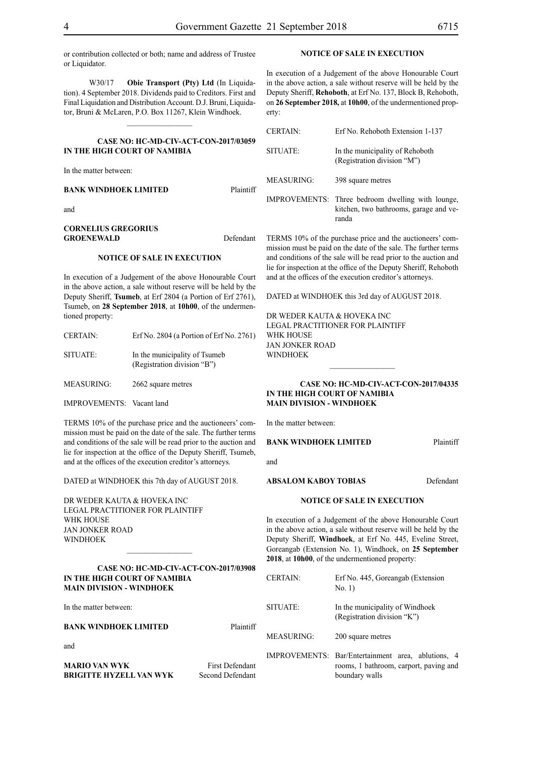or contribution collected or both; name and address of Trustee or Liquidator.

W30/17 **Obie Transport (Pty) Ltd** (In Liquidation). 4 September 2018. Dividends paid to Creditors. First and Final Liquidation and Distribution Account. D.J. Bruni, Liquidator, Bruni & McLaren, P.O. Box 11267, Klein Windhoek.

#### **CASE NO: HC-MD-CIV-ACT-CON-2017/03059 IN THE HIGH COURT OF NAMIBIA**

 $\frac{1}{2}$ 

In the matter between:

#### **BANK WINDHOEK LIMITED** Plaintiff

and

#### **CORNELIUS GREGORIUS**  GROENEWALD Defendant

#### **NOTICE OF SALE IN EXECUTION**

In execution of a Judgement of the above Honourable Court in the above action, a sale without reserve will be held by the Deputy Sheriff, **Tsumeb**, at Erf 2804 (a Portion of Erf 2761), Tsumeb, on **28 September 2018**, at **10h00**, of the undermentioned property:

| <b>CERTAIN:</b>   | Erf No. 2804 (a Portion of Erf No. 2761)                     |
|-------------------|--------------------------------------------------------------|
| SITUATE:          | In the municipality of Tsumeb<br>(Registration division "B") |
| <b>MEASURING:</b> | 2662 square metres                                           |

IMPROVEMENTS: Vacant land

TERMS 10% of the purchase price and the auctioneers' commission must be paid on the date of the sale. The further terms and conditions of the sale will be read prior to the auction and lie for inspection at the office of the Deputy Sheriff, Tsumeb, and at the offices of the execution creditor's attorneys.

DATED at WINDHOEK this 7th day of AUGUST 2018.

DR WEDER KAUTA & HOVEKA INC Legal Practitioner for Plaintiff WHK HOUSE Jan Jonker Road **WINDHOFK** 

**CASE NO: HC-MD-CIV-ACT-CON-2017/03908 IN THE HIGH COURT OF NAMIBIA MAIN DIVISION - WINDHOEK**

In the matter between:

**BANK WINDHOEK LIMITED** Plaintiff

and

**MARIO VAN WYK** First Defendant **BRIGITTE HYZELL VAN WYK** Second Defendant

#### **NOTICE OF SALE IN EXECUTION**

In execution of a Judgement of the above Honourable Court in the above action, a sale without reserve will be held by the Deputy Sheriff, **Rehoboth**, at Erf No. 137, Block B, Rehoboth, on **26 September 2018,** at **10h00**, of the undermentioned property:

| <b>CERTAIN:</b>   | Erf No. Rehoboth Extension 1-137                                                                     |
|-------------------|------------------------------------------------------------------------------------------------------|
| SITUATE:          | In the municipality of Rehoboth<br>(Registration division "M")                                       |
| <b>MEASURING:</b> | 398 square metres                                                                                    |
|                   | IMPROVEMENTS: Three bedroom dwelling with lounge,<br>kitchen, two bathrooms, garage and ve-<br>randa |

TERMS 10% of the purchase price and the auctioneers' commission must be paid on the date of the sale. The further terms and conditions of the sale will be read prior to the auction and lie for inspection at the office of the Deputy Sheriff, Rehoboth and at the offices of the execution creditor's attorneys.

DATED at WINDHOEK this 3rd day of AUGUST 2018.

DR WEDER KAUTA & HOVEKA INC Legal Practitioner for Plaintiff WHK HOUSE Jan Jonker Road WINDHOEK

#### **CASE NO: HC-MD-CIV-ACT-CON-2017/04335 IN THE HIGH COURT OF NAMIBIA MAIN DIVISION - WINDHOEK**

In the matter between:

#### **BANK WINDHOEK LIMITED** Plaintiff

and

**ABSALOM KABOY TOBIAS** Defendant

#### **NOTICE OF SALE IN EXECUTION**

In execution of a Judgement of the above Honourable Court in the above action, a sale without reserve will be held by the Deputy Sheriff, **Windhoek**, at Erf No. 445, Eveline Street, Goreangab (Extension No. 1), Windhoek, on **25 September 2018**, at **10h00**, of the undermentioned property:

| <b>CERTAIN:</b> | Erf No. 445, Goreangab (Extension<br>No. 1)                                                                    |
|-----------------|----------------------------------------------------------------------------------------------------------------|
| SITUATE:        | In the municipality of Windhoek<br>(Registration division "K")                                                 |
| MEASURING:      | 200 square metres                                                                                              |
|                 | IMPROVEMENTS: Bar/Entertainment area, ablutions, 4<br>rooms, 1 bathroom, carport, paving and<br>boundary walls |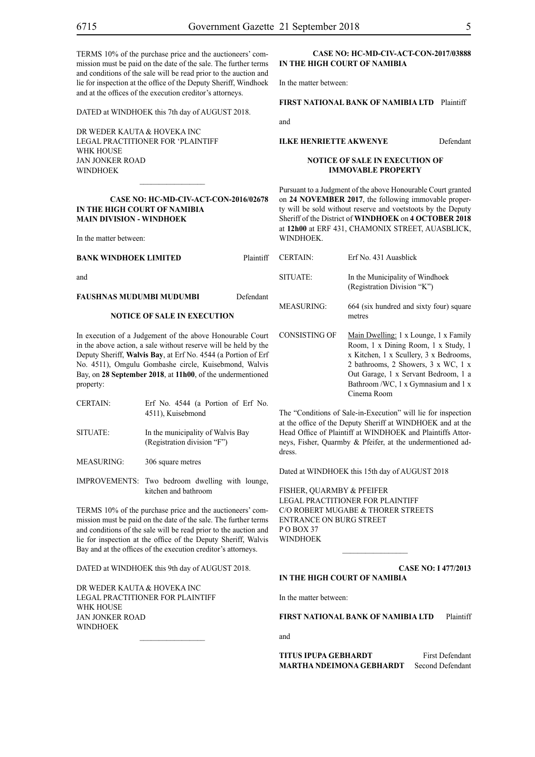TERMS 10% of the purchase price and the auctioneers' commission must be paid on the date of the sale. The further terms and conditions of the sale will be read prior to the auction and lie for inspection at the office of the Deputy Sheriff, Windhoek and at the offices of the execution creditor's attorneys.

DATED at WINDHOEK this 7th day of AUGUST 2018.

DR WEDER KAUTA & HOVEKA INC Legal Practitioner for 'Plaintiff WHK HOUSE Jan Jonker Road **WINDHOEK** 

#### **CASE NO: HC-MD-CIV-ACT-CON-2016/02678 IN THE HIGH COURT OF NAMIBIA MAIN DIVISION - WINDHOEK**

 $\overline{\phantom{a}}$  ,  $\overline{\phantom{a}}$  ,  $\overline{\phantom{a}}$  ,  $\overline{\phantom{a}}$  ,  $\overline{\phantom{a}}$  ,  $\overline{\phantom{a}}$  ,  $\overline{\phantom{a}}$  ,  $\overline{\phantom{a}}$  ,  $\overline{\phantom{a}}$  ,  $\overline{\phantom{a}}$  ,  $\overline{\phantom{a}}$  ,  $\overline{\phantom{a}}$  ,  $\overline{\phantom{a}}$  ,  $\overline{\phantom{a}}$  ,  $\overline{\phantom{a}}$  ,  $\overline{\phantom{a}}$ 

In the matter between:

| BANK WINDHOEK LIMITED                                          | Plaintiff | <b>CERTAIN:</b>   | Erf No. 431 Auasblick                                          |
|----------------------------------------------------------------|-----------|-------------------|----------------------------------------------------------------|
| and                                                            | Defendant | SITUATE:          | In the Municipality of Windhoek<br>(Registration Division "K") |
| FAUSHNAS MUDUMBI MUDUMBI<br><b>NOTICE OF SALE IN EXECUTION</b> |           | <b>MEASURING:</b> | 664 (six hundred and sixty four) square<br>metres              |

In execution of a Judgement of the above Honourable Court in the above action, a sale without reserve will be held by the Deputy Sheriff, **Walvis Bay**, at Erf No. 4544 (a Portion of Erf No. 4511), Omgulu Gombashe circle, Kuisebmond, Walvis Bay, on **28 September 2018**, at **11h00**, of the undermentioned property:

| <b>CERTAIN:</b> | Erf No. 4544 (a Portion of Erf No.<br>4511), Kuisebmond          |
|-----------------|------------------------------------------------------------------|
| SITUATE:        | In the municipality of Walvis Bay<br>(Registration division "F") |
| MEASURING:      | 306 square metres                                                |

IMPROVEMENTS: Two bedroom dwelling with lounge, kitchen and bathroom

TERMS 10% of the purchase price and the auctioneers' commission must be paid on the date of the sale. The further terms and conditions of the sale will be read prior to the auction and lie for inspection at the office of the Deputy Sheriff, Walvis Bay and at the offices of the execution creditor's attorneys.

DATED at WINDHOEK this 9th day of AUGUST 2018.

DR WEDER KAUTA & HOVEKA INC Legal Practitioner for Plaintiff WHK House Jan Jonker Road **WINDHOEK**  $\frac{1}{2}$ 

#### **CASE NO: HC-MD-CIV-ACT-CON-2017/03888 IN THE HIGH COURT OF NAMIBIA**

In the matter between:

#### **FIRST NATIONAL BANK OF NAMIBIA LTD** Plaintiff

and

**ILKE HENRIETTE AKWENYE** Defendant

#### **NOTICE OF SALE IN EXECUTION OF IMMOVABLE PROPERTY**

Pursuant to a Judgment of the above Honourable Court granted on **24 NOVEMBER 2017**, the following immovable property will be sold without reserve and voetstoots by the Deputy Sheriff of the District of **WINDHOEK** on **4 OCTOBER 2018** at **12h00** at ERF 431, CHAMONIX STREET, AUASBLICK, **WINDHOEK** 

| <b>CERTAIN:</b>   | Erf No. 431 Auasblick                                                                                                                                                                                                                                      |
|-------------------|------------------------------------------------------------------------------------------------------------------------------------------------------------------------------------------------------------------------------------------------------------|
| SITUATE:          | In the Municipality of Windhoek<br>(Registration Division "K")                                                                                                                                                                                             |
| <b>MEASURING:</b> | 664 (six hundred and sixty four) square<br>metres                                                                                                                                                                                                          |
| CONSISTING OF     | Main Dwelling: 1 x Lounge, 1 x Family<br>Room, 1 x Dining Room, 1 x Study, 1<br>x Kitchen, 1 x Scullery, 3 x Bedrooms,<br>2 bathrooms, 2 Showers, 3 x WC, 1 x<br>Out Garage, 1 x Servant Bedroom, 1 a<br>Bathroom/WC, 1 x Gymnasium and 1 x<br>Cinema Room |

The "Conditions of Sale-in-Execution" will lie for inspection at the office of the Deputy Sheriff at WINDHOEK and at the Head Office of Plaintiff at WINDHOEK and Plaintiffs Attorneys, Fisher, Quarmby & Pfeifer, at the undermentioned address.

Dated at WINDHOEK this 15th day of AUGUST 2018

FISHER, QUARMBY & PFEIFER LEGAL PRACTITIONER FOR Plaintiff c/o Robert Mugabe & Thorer Streets entrance on Burg Street PO BOX 37 WINDHOEK

**CASE NO: I 477/2013**

#### **IN THE HIGH COURT OF NAMIBIA**

In the matter between:

**FIRST NATIONAL BANK OF NAMIBIA LTD** Plaintiff

 $\frac{1}{2}$ 

and

**TITUS IPUPA GEBHARDT** First Defendant **MARTHA NDEIMONA GEBHARDT** Second Defendant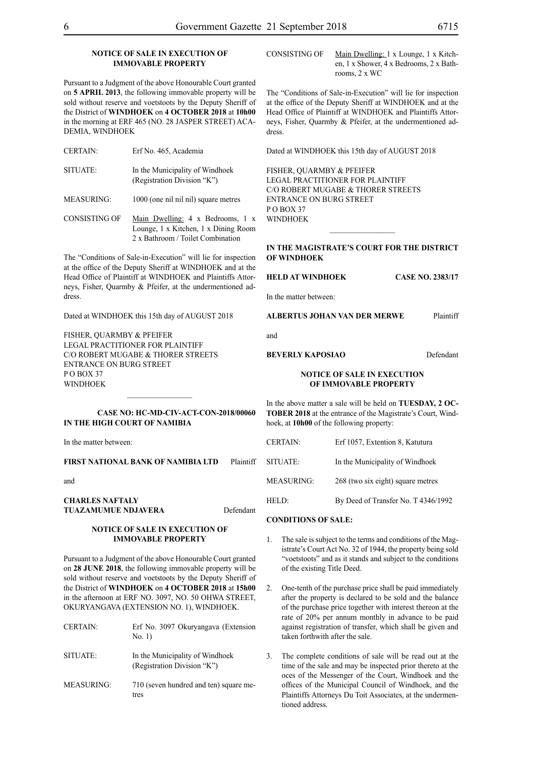#### **NOTICE OF SALE IN EXECUTION OF IMMOVABLE PROPERTY**

Pursuant to a Judgment of the above Honourable Court granted on **5 APRIL 2013**, the following immovable property will be sold without reserve and voetstoots by the Deputy Sheriff of the District of **WINDHOEK** on **4 OCTOBER 2018** at **10h00** in the morning at ERF 465 (NO. 28 JASPER STREET) ACA-DEMIA, WINDHOEK

| <b>CERTAIN:</b>   | Erf No. 465, Academia                                          |
|-------------------|----------------------------------------------------------------|
| SITUATE:          | In the Municipality of Windhoek<br>(Registration Division "K") |
| <b>MEASURING:</b> | 1000 (one nil nil nil) square metres                           |
|                   |                                                                |

CONSISTING OF Main Dwelling: 4 x Bedrooms, 1 x Lounge, 1 x Kitchen, 1 x Dining Room 2 x Bathroom / Toilet Combination

The "Conditions of Sale-in-Execution" will lie for inspection at the office of the Deputy Sheriff at WINDHOEK and at the Head Office of Plaintiff at WINDHOEK and Plaintiffs Attorneys, Fisher, Quarmby & Pfeifer, at the undermentioned address.

Dated at WINDHOEK this 15th day of AUGUST 2018

FISHER, QUARMBY & PFEIFER LEGAL PRACTITIONER FOR Plaintiff c/o Robert Mugabe & Thorer Streets entrance on Burg Street PO BOX 37 WINDHOEK

#### **CASE NO: HC-MD-CIV-ACT-CON-2018/00060 IN THE HIGH COURT OF NAMIBIA**

 $\frac{1}{2}$ 

In the matter between:

**FIRST NATIONAL BANK OF NAMIBIA LTD** Plaintiff

and

#### **CHARLES NAFTALY TUAZAMUMUE NDJAVERA** Defendant

#### **NOTICE OF SALE IN EXECUTION OF IMMOVABLE PROPERTY**

Pursuant to a Judgment of the above Honourable Court granted on **28 JUNE 2018**, the following immovable property will be sold without reserve and voetstoots by the Deputy Sheriff of the District of **WINDHOEK** on **4 OCTOBER 2018** at **15h00** in the afternoon at ERF NO. 3097, NO. 50 OHWA STREET, OKURYANGAVA (EXTENSION NO. 1), WINDHOEK.

| <b>CERTAIN:</b>   | Erf No. 3097 Okuryangava (Extension<br>No. 1)                  |
|-------------------|----------------------------------------------------------------|
| SITUATE:          | In the Municipality of Windhoek<br>(Registration Division "K") |
| <b>MEASURING:</b> | 710 (seven hundred and ten) square me-                         |

tres

CONSISTING OF Main Dwelling: 1 x Lounge, 1 x Kitchen, 1 x Shower, 4 x Bedrooms, 2 x Bathrooms, 2 x WC

The "Conditions of Sale-in-Execution" will lie for inspection at the office of the Deputy Sheriff at WINDHOEK and at the Head Office of Plaintiff at WINDHOEK and Plaintiffs Attorneys, Fisher, Quarmby & Pfeifer, at the undermentioned address.

Dated at WINDHOEK this 15th day of AUGUST 2018

FISHER, QUARMBY & PFEIFER LEGAL PRACTITIONER FOR Plaintiff c/o Robert Mugabe & Thorer Streets entrance on Burg Street PO BOX 37 WINDHOEK

#### **IN THE MAGISTRATE'S COURT FOR THE DISTRICT OF WINDHOEK**

 $\frac{1}{2}$ 

**HELD AT WINDHOEK CASE NO. 2383/17**

In the matter between:

**ALBERTUS JOHAN VAN DER MERWE** Plaintiff

and

#### **BEVERLY KAPOSIAO** Defendant

#### **NOTICE OF SALE IN EXECUTION OF IMMOVABLE PROPERTY**

In the above matter a sale will be held on **TUESDAY, 2 OC-TOBER 2018** at the entrance of the Magistrate's Court, Windhoek, at **10h00** of the following property:

| <b>CERTAIN:</b> | Erf 1057, Extention 8, Katutura     |
|-----------------|-------------------------------------|
| SITUATE:        | In the Municipality of Windhoek     |
| MEASURING:      | 268 (two six eight) square metres   |
| HELD:           | By Deed of Transfer No. T 4346/1992 |
|                 |                                     |

#### **CONDITIONS OF SALE:**

- 1. The sale is subject to the terms and conditions of the Magistrate's Court Act No. 32 of 1944, the property being sold "voetstoots" and as it stands and subject to the conditions of the existing Title Deed.
- 2. One-tenth of the purchase price shall be paid immediately after the property is declared to be sold and the balance of the purchase price together with interest thereon at the rate of 20% per annum monthly in advance to be paid against registration of transfer, which shall be given and taken forthwith after the sale.
- 3. The complete conditions of sale will be read out at the time of the sale and may be inspected prior thereto at the oces of the Messenger of the Court, Windhoek and the offices of the Municipal Council of Windhoek, and the Plaintiffs Attorneys Du Toit Associates, at the undermentioned address.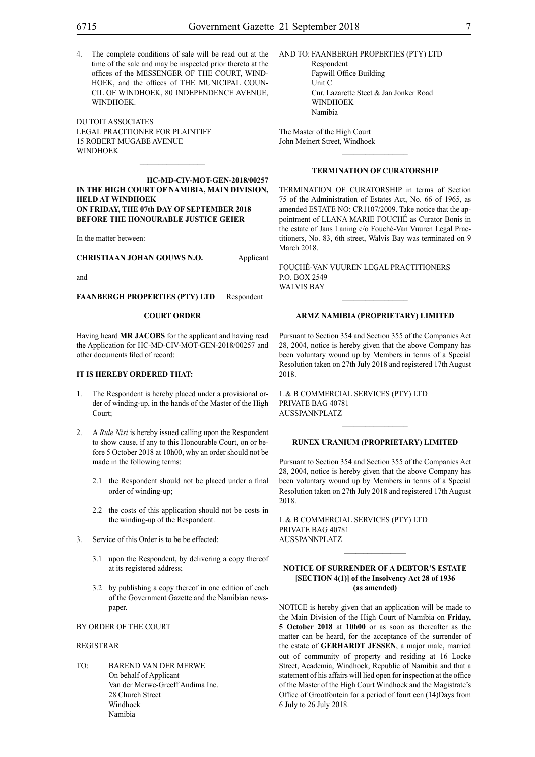4. The complete conditions of sale will be read out at the time of the sale and may be inspected prior thereto at the offices of the MESSENGER OF THE COURT, WIND-HOEK, and the offices of THE MUNICIPAL COUN-CIL OF WINDHOEK, 80 INDEPENDENCE AVENUE, WINDHOEK.

DU TOIT ASSOCIATES LEGAL PRACITIONER FOR Plaintiff 15 ROBERT MUGABE AVENUE WINDHOEK

**HC-MD-CIV-MOT-GEN-2018/00257 IN THE HIGH COURT OF NAMIBIA, MAIN DIVISION, HELD AT WINDHOEK ON FRIDAY, THE 07th DAY OF SEPTEMBER 2018 BEFORE THE HONOURABLE JUSTICE GEIER**

 $\frac{1}{2}$ 

In the matter between:

**CHRISTIAAN JOHAN GOUWS N.O.** Applicant

and

**FAANBERGH PROPERTIES (PTY) LTD** Respondent

#### **COURT ORDER**

Having heard **MR JACOBS** for the applicant and having read the Application for HC-MD-CIV-MOT-GEN-2018/00257 and other documents filed of record:

#### **IT IS HEREBY ORDERED THAT:**

- 1. The Respondent is hereby placed under a provisional order of winding-up, in the hands of the Master of the High Court;
- 2. A *Rule Nisi* is hereby issued calling upon the Respondent to show cause, if any to this Honourable Court, on or before 5 October 2018 at 10h00, why an order should not be made in the following terms:
	- 2.1 the Respondent should not be placed under a final order of winding-up;
	- 2.2 the costs of this application should not be costs in the winding-up of the Respondent.
- 3. Service of this Order is to be be effected:
	- 3.1 upon the Respondent, by delivering a copy thereof at its registered address;
	- 3.2 by publishing a copy thereof in one edition of each of the Government Gazette and the Namibian newspaper.

#### BY ORDER OF THE COURT

#### REGISTRAR

TO: BAREND VAN DER MERWE On behalf of Applicant Van der Merwe-Greeff Andima Inc. 28 Church Street Windhoek Namibia

#### AND TO: FAANBERGH PROPERTIES (PTY) LTD

Respondent Fapwill Office Building Unit C Cnr. Lazarette Steet & Jan Jonker Road WINDHOEK Namibia

The Master of the High Court John Meinert Street, Windhoek

#### **TERMINATION OF CURATORSHIP**

 $\frac{1}{2}$ 

TERMINATION OF CURATORSHIP in terms of Section 75 of the Administration of Estates Act, No. 66 of 1965, as amended ESTATE NO: CR1107/2009. Take notice that the appointment of LLANA MARIE FOUCHÉ as Curator Bonis in the estate of Jans Laning c/o Fouché-Van Vuuren Legal Practitioners, No. 83, 6th street, Walvis Bay was terminated on 9 March 2018.

FOUCHÉ-VAN VUUREN LEGAL PRACTITIONERS P.O. Box 2549 WALVIS BAY

#### **ARMZ NAMIBIA (PROPRIETARY) LIMITED**

 $\frac{1}{2}$ 

Pursuant to Section 354 and Section 355 of the Companies Act 28, 2004, notice is hereby given that the above Company has been voluntary wound up by Members in terms of a Special Resolution taken on 27th July 2018 and registered 17th August 2018.

L & B COMMERCIAL SERVICES (PTY) LTD PRIVATE BAG 40781 AUSSPANNPLATZ

#### **RUNEX URANIUM (PROPRIETARY) LIMITED**

 $\frac{1}{2}$ 

Pursuant to Section 354 and Section 355 of the Companies Act 28, 2004, notice is hereby given that the above Company has been voluntary wound up by Members in terms of a Special Resolution taken on 27th July 2018 and registered 17th August 2018.

L & B COMMERCIAL SERVICES (PTY) LTD PRIVATE BAG 40781 AUSSPANNPLATZ

#### **NOTICE OF SURRENDER OF A DEBTOR'S ESTATE [SECTION 4(1)] of the Insolvency Act 28 of 1936 (as amended)**

NOTICE is hereby given that an application will be made to the Main Division of the High Court of Namibia on **Friday, 5 October 2018** at **10h00** or as soon as thereafter as the matter can be heard, for the acceptance of the surrender of the estate of **GERHARDT JESSEN**, a major male, married out of community of property and residing at 16 Locke Street, Academia, Windhoek, Republic of Namibia and that a statement of his affairs will lied open for inspection at the office of the Master of the High Court Windhoek and the Magistrate's Office of Grootfontein for a period of fourt een (14)Days from 6 July to 26 July 2018.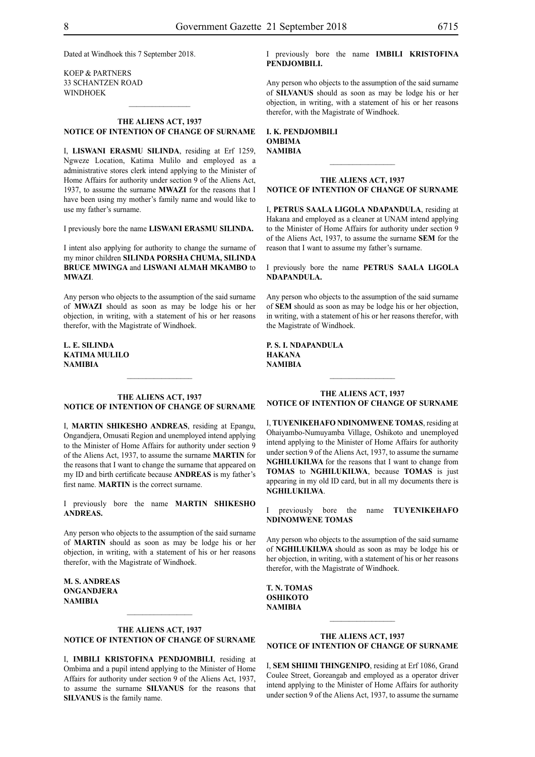Dated at Windhoek this 7 September 2018.

KOEP & PARTNERS 33 SCHANTZEN ROAD WINDHOEK

#### **THE ALIENS ACT, 1937 NOTICE OF INTENTION OF CHANGE OF SURNAME**

 $\frac{1}{2}$ 

I, **Liswani erasmu silinda**, residing at Erf 1259, Ngweze Location, Katima Mulilo and employed as a administrative stores clerk intend applying to the Minister of Home Affairs for authority under section 9 of the Aliens Act, 1937, to assume the surname **mwazi** for the reasons that I have been using my mother's family name and would like to use my father's surname.

I previously bore the name **Liswani erasmu silinda.**

I intent also applying for authority to change the surname of my minor children **SILINDA PORSHA CHUMA, SILINDA BRUCE MWINGA** and **LISWANI ALMAH MKAMBO** to **MWAZI**.

Any person who objects to the assumption of the said surname of **mwazi** should as soon as may be lodge his or her objection, in writing, with a statement of his or her reasons therefor, with the Magistrate of Windhoek.

**L. e. silinda KATIMA MULILO NAMIBIA**

#### **THE ALIENS ACT, 1937 NOTICE OF INTENTION OF CHANGE OF SURNAME**

 $\frac{1}{2}$ 

I, **martin shikesho andreas**, residing at Epangu, Ongandjera, Omusati Region and unemployed intend applying to the Minister of Home Affairs for authority under section 9 of the Aliens Act, 1937, to assume the surname **martin** for the reasons that I want to change the surname that appeared on my ID and birth certificate because **ANDREAS** is my father's first name. **MARTIN** is the correct surname.

I previously bore the name **martin shikesho andreas.**

Any person who objects to the assumption of the said surname of **MARTIN** should as soon as may be lodge his or her objection, in writing, with a statement of his or her reasons therefor, with the Magistrate of Windhoek.

**m. s. andreas ongandjera NAMIBIA**

#### **THE ALIENS ACT, 1937 NOTICE OF INTENTION OF CHANGE OF SURNAME**

 $\frac{1}{2}$ 

I, **IMBILI KRISTOFINA PENDJOMBILI**, residing at Ombima and a pupil intend applying to the Minister of Home Affairs for authority under section 9 of the Aliens Act, 1937, to assume the surname **silvanus** for the reasons that **SILVANUS** is the family name.

I previously bore the name **IMBILI KRISTOFINA PENDJOMBILI.**

Any person who objects to the assumption of the said surname of **SILVANUS** should as soon as may be lodge his or her objection, in writing, with a statement of his or her reasons therefor, with the Magistrate of Windhoek.

**I. K. PENDJOMBILI ombima NAMIBIA**

#### **THE ALIENS ACT, 1937 NOTICE OF INTENTION OF CHANGE OF SURNAME**

 $\frac{1}{2}$ 

I, **petrus saala Ligola ndapandula**, residing at Hakana and employed as a cleaner at UNAM intend applying to the Minister of Home Affairs for authority under section 9 of the Aliens Act, 1937, to assume the surname **sem** for the reason that I want to assume my father's surname.

I previously bore the name **petrus saala Ligola ndapandula.**

Any person who objects to the assumption of the said surname of **sem** should as soon as may be lodge his or her objection, in writing, with a statement of his or her reasons therefor, with the Magistrate of Windhoek.

**p. s. I. ndapandula hakana NAMIBIA**

#### **THE ALIENS ACT, 1937 NOTICE OF INTENTION OF CHANGE OF SURNAME**

 $\frac{1}{2}$ 

I, **tuyenikehafo ndinomwene tomas**, residing at Ohaiyambo-Numuyamba Village, Oshikoto and unemployed intend applying to the Minister of Home Affairs for authority under section 9 of the Aliens Act, 1937, to assume the surname **NGHILUKILWA** for the reasons that I want to change from **TOMAS** to **NGHILUKILWA**, because **TOMAS** is just appearing in my old ID card, but in all my documents there is **NGHILUKILWA**.

I previously bore the name **tuyenikehafo ndinomwene tomas**

Any person who objects to the assumption of the said surname of **nghilukilwa** should as soon as may be lodge his or her objection, in writing, with a statement of his or her reasons therefor, with the Magistrate of Windhoek.

**t. n. tomas OSHIKOTO NAMIBIA**

#### **THE ALIENS ACT, 1937 NOTICE OF INTENTION OF CHANGE OF SURNAME**

I, **sem shiimi thingenipo**, residing at Erf 1086, Grand Coulee Street, Goreangab and employed as a operator driver intend applying to the Minister of Home Affairs for authority under section 9 of the Aliens Act, 1937, to assume the surname